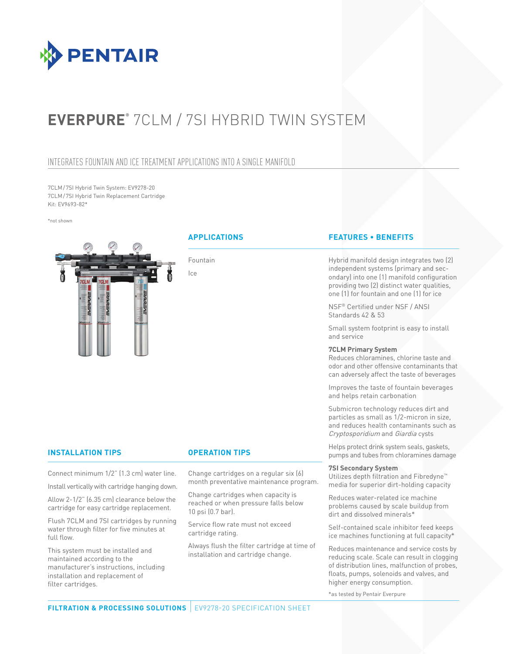

# **EVERPURE**® 7CLM / 7SI HYBRID TWIN SYST

# Integrates fountain and ice treatment applications into a single manifold

7CLM/7SI Hybrid Twin System: EV9278-20 7CLM/7SI Hybrid Twin Replacement Cartridge Kit: EV9693-82\*

\*not shown



Fountain Ice

# **Applications Features • Benefits**

Hybrid manifold design integrates two (2) independent systems (primary and secondary) into one (1) manifold configuration providing two (2) distinct water qualities, one (1) for fountain and one (1) for ice

NSF® Certified under NSF / ANSI Standards 42 & 53

Small system footprint is easy to install and service

### **7CLM Primary System**

Reduces chloramines, chlorine taste and odor and other offensive contaminants that can adversely affect the taste of beverages

Improves the taste of fountain beverages and helps retain carbonation

Submicron technology reduces dirt and particles as small as 1/2-micron in size, and reduces health contaminants such as Cryptosporidium and Giardia cysts

Helps protect drink system seals, gaskets, pumps and tubes from chloramines damage

### **7SI Secondary System**

Utilizes depth filtration and Fibredyne™ media for superior dirt-holding capacity

Reduces water-related ice machine problems caused by scale buildup from dirt and dissolved minerals\*

Self-contained scale inhibitor feed keeps ice machines functioning at full capacity\*

Reduces maintenance and service costs by reducing scale. Scale can result in clogging of distribution lines, malfunction of probes, floats, pumps, solenoids and valves, and higher energy consumption.

\*as tested by Pentair Everpure

## **Installation Tips Operation Tips**

Connect minimum 1/2" (1.3 cm) water line.

Install vertically with cartridge hanging down.

Allow 2-1/2" (6.35 cm) clearance below the cartridge for easy cartridge replacement.

Flush 7CLM and 7SI cartridges by running water through filter for five minutes at full flow.

This system must be installed and maintained according to the manufacturer's instructions, including installation and replacement of filter cartridges.

Change cartridges on a regular six (6) month preventative maintenance program.

Change cartridges when capacity is reached or when pressure falls below 10 psi (0.7 bar).

Service flow rate must not exceed cartridge rating.

Always flush the filter cartridge at time of installation and cartridge change.